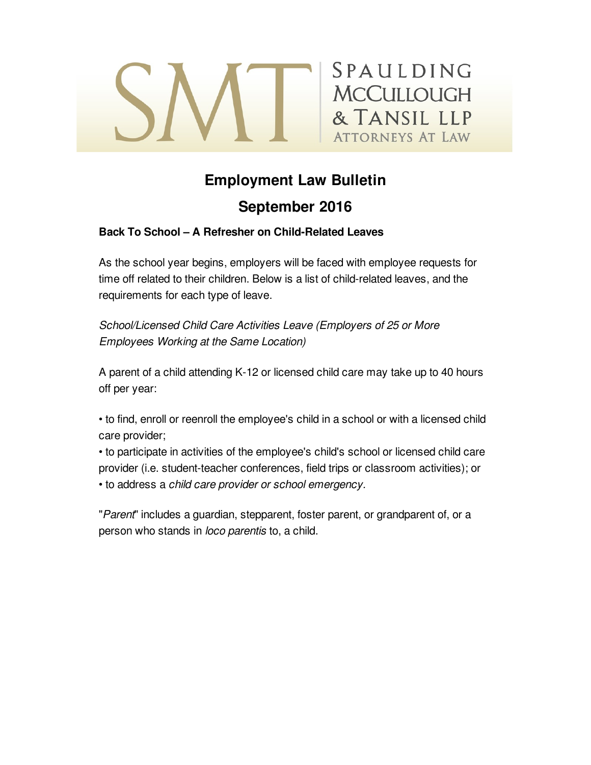

# **Employment Law Bulletin**

## **September 2016**

### **Back To School – A Refresher on Child-Related Leaves**

As the school year begins, employers will be faced with employee requests for time off related to their children. Below is a list of child-related leaves, and the requirements for each type of leave.

*School/Licensed Child Care Activities Leave (Employers of 25 or More Employees Working at the Same Location)*

A parent of a child attending K-12 or licensed child care may take up to 40 hours off per year:

• to find, enroll or reenroll the employee's child in a school or with a licensed child care provider;

• to participate in activities of the employee's child's school or licensed child care provider (i.e. student-teacher conferences, field trips or classroom activities); or • to address a *child care provider or school emergency.*

"*Parent*" includes a guardian, stepparent, foster parent, or grandparent of, or a person who stands in *loco parentis* to, a child.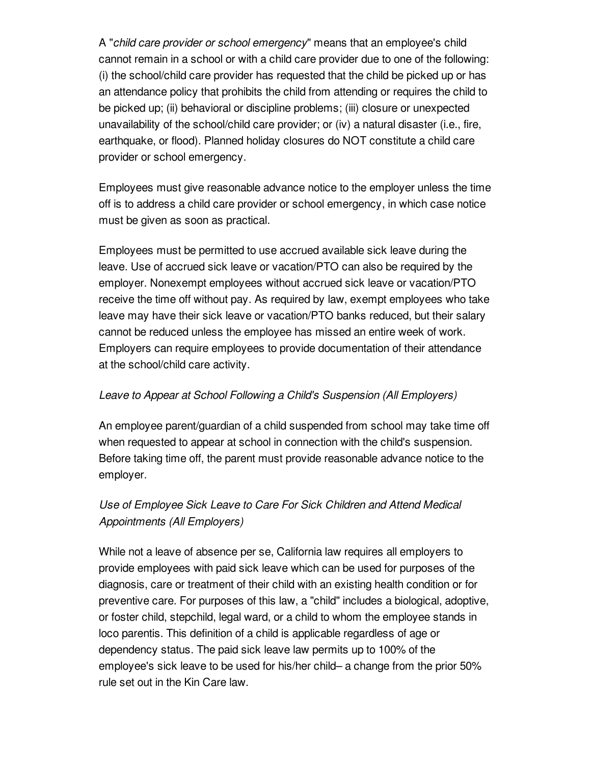A "*child care provider or school emergency*" means that an employee's child cannot remain in a school or with a child care provider due to one of the following: (i) the school/child care provider has requested that the child be picked up or has an attendance policy that prohibits the child from attending or requires the child to be picked up; (ii) behavioral or discipline problems; (iii) closure or unexpected unavailability of the school/child care provider; or (iv) a natural disaster (i.e., fire, earthquake, or flood). Planned holiday closures do NOT constitute a child care provider or school emergency.

Employees must give reasonable advance notice to the employer unless the time off is to address a child care provider or school emergency, in which case notice must be given as soon as practical.

Employees must be permitted to use accrued available sick leave during the leave. Use of accrued sick leave or vacation/PTO can also be required by the employer. Nonexempt employees without accrued sick leave or vacation/PTO receive the time off without pay. As required by law, exempt employees who take leave may have their sick leave or vacation/PTO banks reduced, but their salary cannot be reduced unless the employee has missed an entire week of work. Employers can require employees to provide documentation of their attendance at the school/child care activity.

## *Leave to Appear at School Following a Child's Suspension (All Employers)*

An employee parent/guardian of a child suspended from school may take time off when requested to appear at school in connection with the child's suspension. Before taking time off, the parent must provide reasonable advance notice to the employer.

## *Use of Employee Sick Leave to Care For Sick Children and Attend Medical Appointments (All Employers)*

While not a leave of absence per se, California law requires all employers to provide employees with paid sick leave which can be used for purposes of the diagnosis, care or treatment of their child with an existing health condition or for preventive care. For purposes of this law, a "child" includes a biological, adoptive, or foster child, stepchild, legal ward, or a child to whom the employee stands in loco parentis. This definition of a child is applicable regardless of age or dependency status. The paid sick leave law permits up to 100% of the employee's sick leave to be used for his/her child– a change from the prior 50% rule set out in the Kin Care law.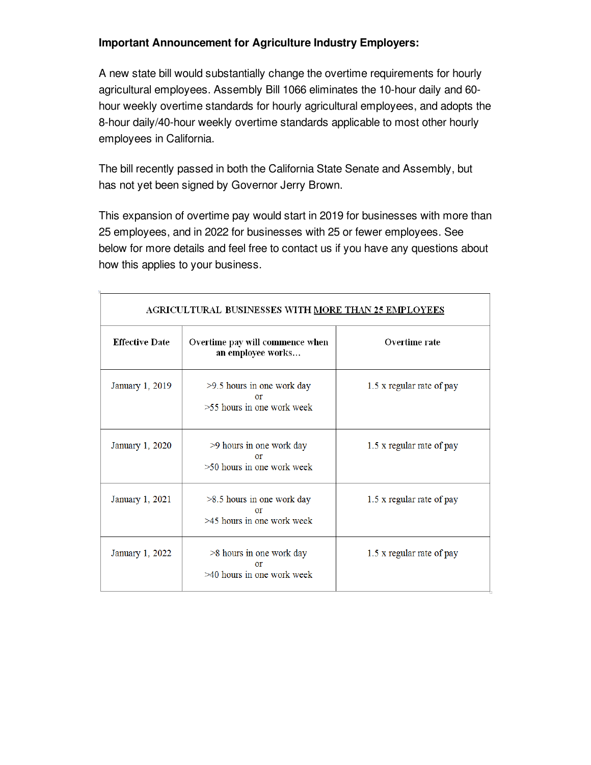## **Important Announcement for Agriculture Industry Employers:**

A new state bill would substantially change the overtime requirements for hourly agricultural employees. Assembly Bill 1066 eliminates the 10-hour daily and 60 hour weekly overtime standards for hourly agricultural employees, and adopts the 8-hour daily/40-hour weekly overtime standards applicable to most other hourly employees in California.

The bill recently passed in both the California State Senate and Assembly, but has not yet been signed by Governor Jerry Brown.

This expansion of overtime pay would start in 2019 for businesses with more than 25 employees, and in 2022 for businesses with 25 or fewer employees. See below for more details and feel free to contact us if you have any questions about how this applies to your business.

| AGRICULTURAL BUSINESSES WITH MORE THAN 25 EMPLOYEES |                                                                      |                           |  |
|-----------------------------------------------------|----------------------------------------------------------------------|---------------------------|--|
| <b>Effective Date</b>                               | Overtime pay will commence when<br>an employee works                 | Overtime rate             |  |
| January 1, 2019                                     | >9.5 hours in one work day<br>or<br>>55 hours in one work week       | 1.5 x regular rate of pay |  |
| January 1, 2020                                     | >9 hours in one work day<br>$\alpha$ r<br>>50 hours in one work week | 1.5 x regular rate of pay |  |
| January 1, 2021                                     | $>8.5$ hours in one work day<br>or<br>$>45$ hours in one work week   | 1.5 x regular rate of pay |  |
| January 1, 2022                                     | >8 hours in one work day<br>or<br>$>40$ hours in one work week       | 1.5 x regular rate of pay |  |